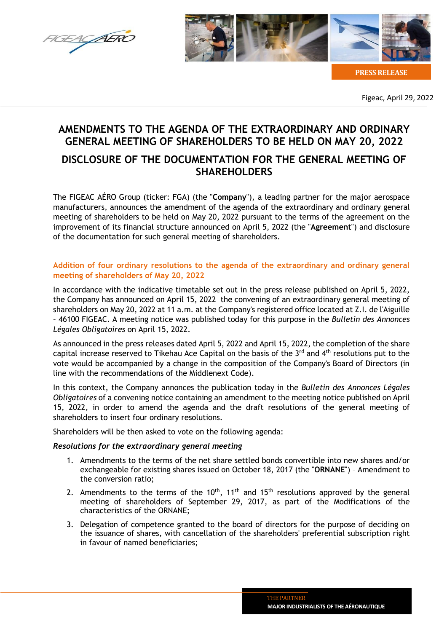



**PRESS RELEASE**

Figeac, April 29, 2022

# **AMENDMENTS TO THE AGENDA OF THE EXTRAORDINARY AND ORDINARY GENERAL MEETING OF SHAREHOLDERS TO BE HELD ON MAY 20, 2022**

## **DISCLOSURE OF THE DOCUMENTATION FOR THE GENERAL MEETING OF SHAREHOLDERS**

The FIGEAC AÉRO Group (ticker: FGA) (the "**Company**"), a leading partner for the major aerospace manufacturers, announces the amendment of the agenda of the extraordinary and ordinary general meeting of shareholders to be held on May 20, 2022 pursuant to the terms of the agreement on the improvement of its financial structure announced on April 5, 2022 (the "**Agreement**") and disclosure of the documentation for such general meeting of shareholders.

## **Addition of four ordinary resolutions to the agenda of the extraordinary and ordinary general meeting of shareholders of May 20, 2022**

In accordance with the indicative timetable set out in the press release published on April 5, 2022, the Company has announced on April 15, 2022 the convening of an extraordinary general meeting of shareholders on May 20, 2022 at 11 a.m. at the Company's registered office located at Z.I. de l'Aiguille – 46100 FIGEAC. A meeting notice was published today for this purpose in the *Bulletin des Annonces Légales Obligatoires* on April 15, 2022.

As announced in the press releases dated April 5, 2022 and April 15, 2022, the completion of the share capital increase reserved to Tikehau Ace Capital on the basis of the  $3<sup>rd</sup>$  and  $4<sup>th</sup>$  resolutions put to the vote would be accompanied by a change in the composition of the Company's Board of Directors (in line with the recommendations of the Middlenext Code).

In this context, the Company annonces the publication today in the *Bulletin des Annonces Légales Obligatoires* of a convening notice containing an amendment to the meeting notice published on April 15, 2022, in order to amend the agenda and the draft resolutions of the general meeting of shareholders to insert four ordinary resolutions.

Shareholders will be then asked to vote on the following agenda:

### *Resolutions for the extraordinary general meeting*

- 1. Amendments to the terms of the net share settled bonds convertible into new shares and/or exchangeable for existing shares issued on October 18, 2017 (the "**ORNANE**") – Amendment to the conversion ratio;
- 2. Amendments to the terms of the  $10^{th}$ ,  $11^{th}$  and  $15^{th}$  resolutions approved by the general meeting of shareholders of September 29, 2017, as part of the Modifications of the characteristics of the ORNANE;
- 3. Delegation of competence granted to the board of directors for the purpose of deciding on the issuance of shares, with cancellation of the shareholders' preferential subscription right in favour of named beneficiaries;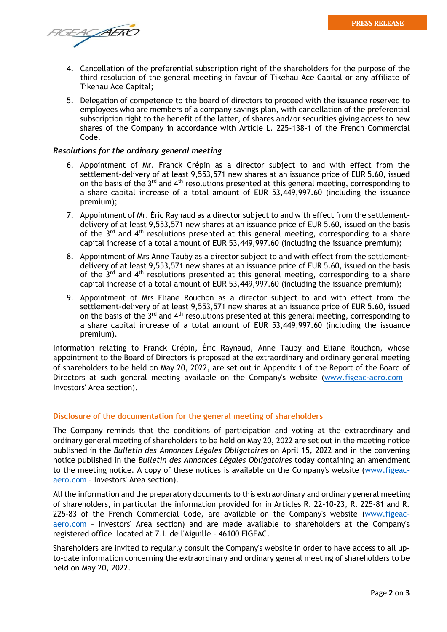FIGEACAERO

- 4. Cancellation of the preferential subscription right of the shareholders for the purpose of the third resolution of the general meeting in favour of Tikehau Ace Capital or any affiliate of Tikehau Ace Capital;
- 5. Delegation of competence to the board of directors to proceed with the issuance reserved to employees who are members of a company savings plan, with cancellation of the preferential subscription right to the benefit of the latter, of shares and/or securities giving access to new shares of the Company in accordance with Article L. 225-138-1 of the French Commercial Code.

#### *Resolutions for the ordinary general meeting*

- 6. Appointment of Mr. Franck Crépin as a director subject to and with effect from the settlement-delivery of at least 9,553,571 new shares at an issuance price of EUR 5.60, issued on the basis of the  $3<sup>rd</sup>$  and  $4<sup>th</sup>$  resolutions presented at this general meeting, corresponding to a share capital increase of a total amount of EUR 53,449,997.60 (including the issuance premium);
- 7. Appointment of Mr. Éric Raynaud as a director subject to and with effect from the settlementdelivery of at least 9,553,571 new shares at an issuance price of EUR 5.60, issued on the basis of the  $3<sup>rd</sup>$  and  $4<sup>th</sup>$  resolutions presented at this general meeting, corresponding to a share capital increase of a total amount of EUR 53,449,997.60 (including the issuance premium);
- 8. Appointment of Mrs Anne Tauby as a director subject to and with effect from the settlementdelivery of at least 9,553,571 new shares at an issuance price of EUR 5.60, issued on the basis of the  $3<sup>rd</sup>$  and  $4<sup>th</sup>$  resolutions presented at this general meeting, corresponding to a share capital increase of a total amount of EUR 53,449,997.60 (including the issuance premium);
- 9. Appointment of Mrs Eliane Rouchon as a director subject to and with effect from the settlement-delivery of at least 9,553,571 new shares at an issuance price of EUR 5.60, issued on the basis of the  $3<sup>rd</sup>$  and  $4<sup>th</sup>$  resolutions presented at this general meeting, corresponding to a share capital increase of a total amount of EUR 53,449,997.60 (including the issuance premium).

Information relating to Franck Crépin, Éric Raynaud, Anne Tauby and Eliane Rouchon, whose appointment to the Board of Directors is proposed at the extraordinary and ordinary general meeting of shareholders to be held on May 20, 2022, are set out in Appendix 1 of the Report of the Board of Directors at such general meeting available on the Company's website [\(www.figeac-aero.com](http://www.figeac-aero.com/) – Investors' Area section).

#### **Disclosure of the documentation for the general meeting of shareholders**

The Company reminds that the conditions of participation and voting at the extraordinary and ordinary general meeting of shareholders to be held on May 20, 2022 are set out in the meeting notice published in the *Bulletin des Annonces Légales Obligatoires* on April 15, 2022 and in the convening notice published in the *Bulletin des Annonces Légales Obligatoires* today containing an amendment to the meeting notice. A copy of these notices is available on the Company's website [\(www.figeac](http://www.figeac-aero.com/)[aero.com](http://www.figeac-aero.com/) – Investors' Area section).

All the information and the preparatory documents to this extraordinary and ordinary general meeting of shareholders, in particular the information provided for in Articles R. 22-10-23, R. 225-81 and R. 225-83 of the French Commercial Code, are available on the Company's website [\(www.figeac](http://www.figeac-aero.com/)[aero.com](http://www.figeac-aero.com/) – Investors' Area section) and are made available to shareholders at the Company's registered office located at Z.I. de l'Aiguille – 46100 FIGEAC.

Shareholders are invited to regularly consult the Company's website in order to have access to all upto-date information concerning the extraordinary and ordinary general meeting of shareholders to be held on May 20, 2022.